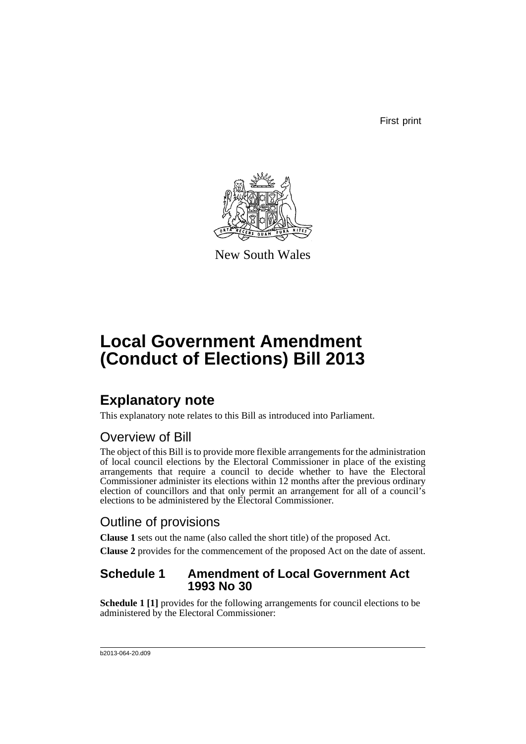First print



New South Wales

# **Local Government Amendment (Conduct of Elections) Bill 2013**

# **Explanatory note**

This explanatory note relates to this Bill as introduced into Parliament.

## Overview of Bill

The object of this Bill is to provide more flexible arrangements for the administration of local council elections by the Electoral Commissioner in place of the existing arrangements that require a council to decide whether to have the Electoral Commissioner administer its elections within 12 months after the previous ordinary election of councillors and that only permit an arrangement for all of a council's elections to be administered by the Electoral Commissioner.

## Outline of provisions

**Clause 1** sets out the name (also called the short title) of the proposed Act.

**Clause 2** provides for the commencement of the proposed Act on the date of assent.

### **Schedule 1 Amendment of Local Government Act 1993 No 30**

**Schedule 1 [1]** provides for the following arrangements for council elections to be administered by the Electoral Commissioner: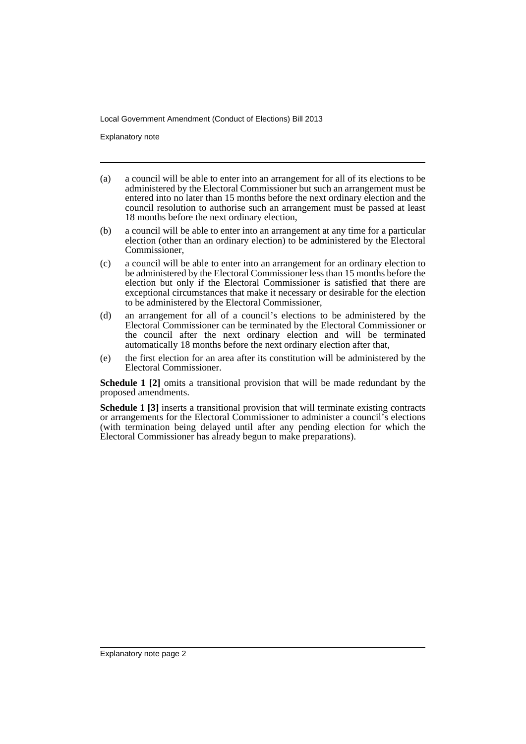Explanatory note

- (a) a council will be able to enter into an arrangement for all of its elections to be administered by the Electoral Commissioner but such an arrangement must be entered into no later than 15 months before the next ordinary election and the council resolution to authorise such an arrangement must be passed at least 18 months before the next ordinary election,
- (b) a council will be able to enter into an arrangement at any time for a particular election (other than an ordinary election) to be administered by the Electoral Commissioner,
- (c) a council will be able to enter into an arrangement for an ordinary election to be administered by the Electoral Commissioner less than 15 months before the election but only if the Electoral Commissioner is satisfied that there are exceptional circumstances that make it necessary or desirable for the election to be administered by the Electoral Commissioner,
- (d) an arrangement for all of a council's elections to be administered by the Electoral Commissioner can be terminated by the Electoral Commissioner or the council after the next ordinary election and will be terminated automatically 18 months before the next ordinary election after that,
- (e) the first election for an area after its constitution will be administered by the Electoral Commissioner.

**Schedule 1 [2]** omits a transitional provision that will be made redundant by the proposed amendments.

**Schedule 1 [3]** inserts a transitional provision that will terminate existing contracts or arrangements for the Electoral Commissioner to administer a council's elections (with termination being delayed until after any pending election for which the Electoral Commissioner has already begun to make preparations).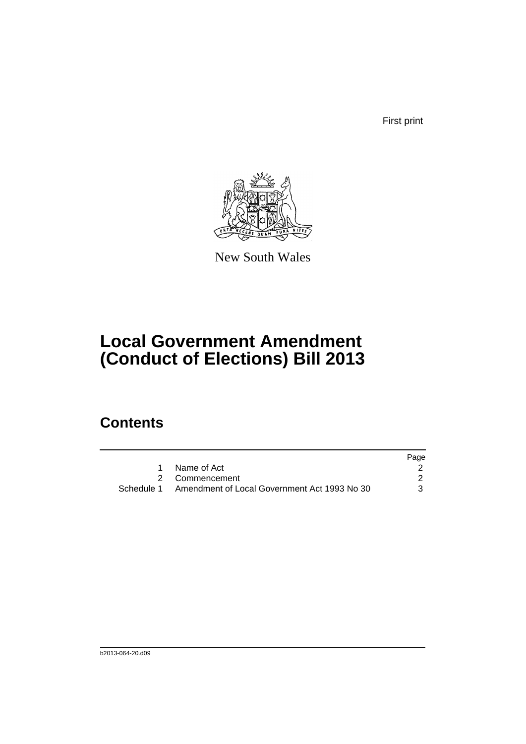First print



New South Wales

# **Local Government Amendment (Conduct of Elections) Bill 2013**

## **Contents**

|                                                         | Page |
|---------------------------------------------------------|------|
| Name of Act                                             |      |
| 2 Commencement                                          |      |
| Schedule 1 Amendment of Local Government Act 1993 No 30 | 3    |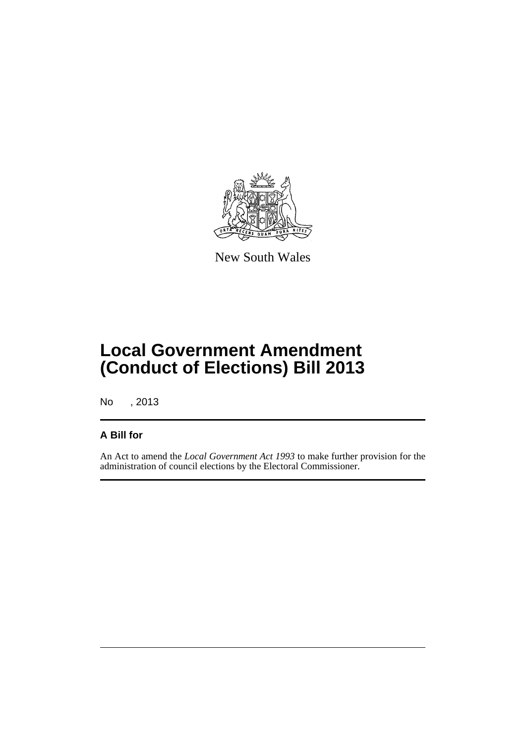

New South Wales

# **Local Government Amendment (Conduct of Elections) Bill 2013**

No , 2013

### **A Bill for**

An Act to amend the *Local Government Act 1993* to make further provision for the administration of council elections by the Electoral Commissioner.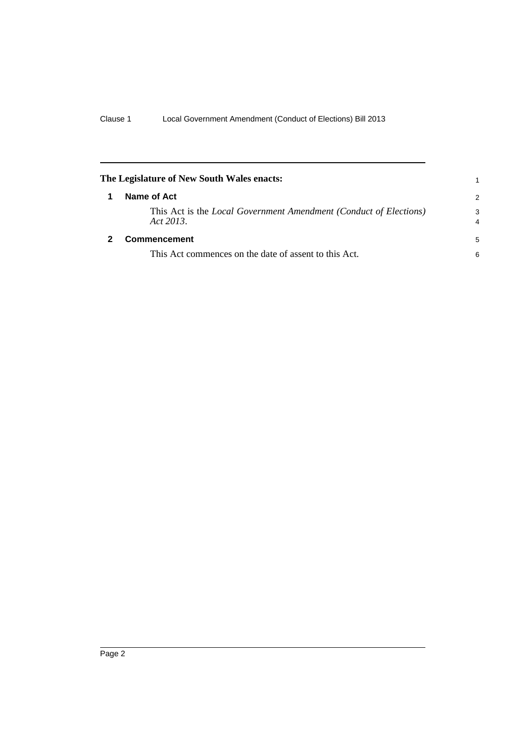<span id="page-5-1"></span><span id="page-5-0"></span>

| The Legislature of New South Wales enacts:                                            |               |
|---------------------------------------------------------------------------------------|---------------|
| Name of Act                                                                           | $\mathcal{P}$ |
| This Act is the <i>Local Government Amendment (Conduct of Elections)</i><br>Act 2013. | 3<br>4        |
| <b>Commencement</b>                                                                   | 5             |
| This Act commences on the date of assent to this Act.                                 | 6             |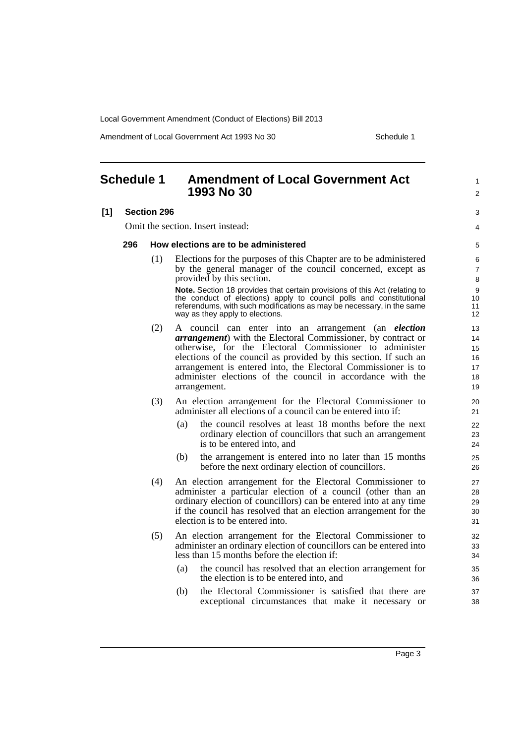Amendment of Local Government Act 1993 No 30 Schedule 1

1  $\mathfrak{p}$ 

 $\overline{a}$ 4

#### <span id="page-6-0"></span>**Schedule 1 Amendment of Local Government Act 1993 No 30**

#### **[1] Section 296**

Omit the section. Insert instead:

#### **296 How elections are to be administered**

(1) Elections for the purposes of this Chapter are to be administered by the general manager of the council concerned, except as provided by this section.

**Note.** Section 18 provides that certain provisions of this Act (relating to the conduct of elections) apply to council polls and constitutional referendums, with such modifications as may be necessary, in the same way as they apply to elections.

- (2) A council can enter into an arrangement (an *election arrangement*) with the Electoral Commissioner, by contract or otherwise, for the Electoral Commissioner to administer elections of the council as provided by this section. If such an arrangement is entered into, the Electoral Commissioner is to administer elections of the council in accordance with the arrangement.
- (3) An election arrangement for the Electoral Commissioner to administer all elections of a council can be entered into if:
	- (a) the council resolves at least 18 months before the next ordinary election of councillors that such an arrangement is to be entered into, and
	- (b) the arrangement is entered into no later than 15 months before the next ordinary election of councillors.
- (4) An election arrangement for the Electoral Commissioner to administer a particular election of a council (other than an ordinary election of councillors) can be entered into at any time if the council has resolved that an election arrangement for the election is to be entered into.
- (5) An election arrangement for the Electoral Commissioner to administer an ordinary election of councillors can be entered into less than 15 months before the election if:
	- (a) the council has resolved that an election arrangement for the election is to be entered into, and
	- (b) the Electoral Commissioner is satisfied that there are exceptional circumstances that make it necessary or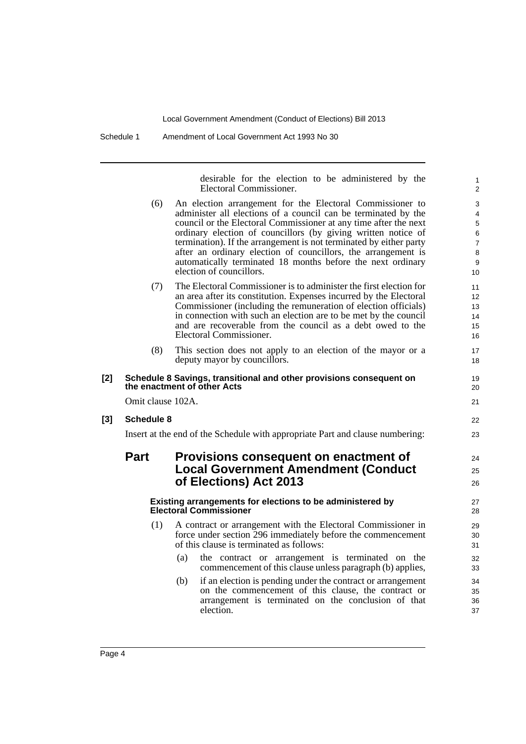Schedule 1 Amendment of Local Government Act 1993 No 30

desirable for the election to be administered by the Electoral Commissioner.

1

|       |                   | Electoral Commissioner.                                                                                                                                                                                                                                                                                                                                                                                                                                                                            | $\overline{c}$                                               |
|-------|-------------------|----------------------------------------------------------------------------------------------------------------------------------------------------------------------------------------------------------------------------------------------------------------------------------------------------------------------------------------------------------------------------------------------------------------------------------------------------------------------------------------------------|--------------------------------------------------------------|
|       | (6)               | An election arrangement for the Electoral Commissioner to<br>administer all elections of a council can be terminated by the<br>council or the Electoral Commissioner at any time after the next<br>ordinary election of councillors (by giving written notice of<br>termination). If the arrangement is not terminated by either party<br>after an ordinary election of councillors, the arrangement is<br>automatically terminated 18 months before the next ordinary<br>election of councillors. | 3<br>4<br>$\mathbf 5$<br>6<br>$\overline{7}$<br>8<br>9<br>10 |
|       | (7)               | The Electoral Commissioner is to administer the first election for<br>an area after its constitution. Expenses incurred by the Electoral<br>Commissioner (including the remuneration of election officials)<br>in connection with such an election are to be met by the council<br>and are recoverable from the council as a debt owed to the<br>Electoral Commissioner.                                                                                                                           | 11<br>$12 \overline{ }$<br>13<br>14<br>15<br>16              |
|       | (8)               | This section does not apply to an election of the mayor or a<br>deputy mayor by councillors.                                                                                                                                                                                                                                                                                                                                                                                                       | 17<br>18                                                     |
| [2]   |                   | Schedule 8 Savings, transitional and other provisions consequent on<br>the enactment of other Acts                                                                                                                                                                                                                                                                                                                                                                                                 | 19<br>20                                                     |
|       | Omit clause 102A. |                                                                                                                                                                                                                                                                                                                                                                                                                                                                                                    | 21                                                           |
| $[3]$ | Schedule 8        |                                                                                                                                                                                                                                                                                                                                                                                                                                                                                                    | 22                                                           |
|       |                   | Insert at the end of the Schedule with appropriate Part and clause numbering:                                                                                                                                                                                                                                                                                                                                                                                                                      | 23                                                           |
|       | <b>Part</b>       | Provisions consequent on enactment of<br><b>Local Government Amendment (Conduct</b><br>of Elections) Act 2013                                                                                                                                                                                                                                                                                                                                                                                      | 24<br>25<br>26                                               |
|       |                   | Existing arrangements for elections to be administered by<br><b>Electoral Commissioner</b>                                                                                                                                                                                                                                                                                                                                                                                                         | 27<br>28                                                     |
|       | (1)               | A contract or arrangement with the Electoral Commissioner in<br>force under section 296 immediately before the commencement<br>of this clause is terminated as follows:                                                                                                                                                                                                                                                                                                                            | 29<br>30<br>31                                               |
|       |                   | (a)<br>the contract or arrangement is terminated on the<br>commencement of this clause unless paragraph (b) applies,                                                                                                                                                                                                                                                                                                                                                                               | 32<br>33                                                     |
|       |                   | if an election is pending under the contract or arrangement<br>(b)<br>on the commencement of this clause, the contract or<br>arrangement is terminated on the conclusion of that<br>election.                                                                                                                                                                                                                                                                                                      | 34<br>35<br>36<br>37                                         |